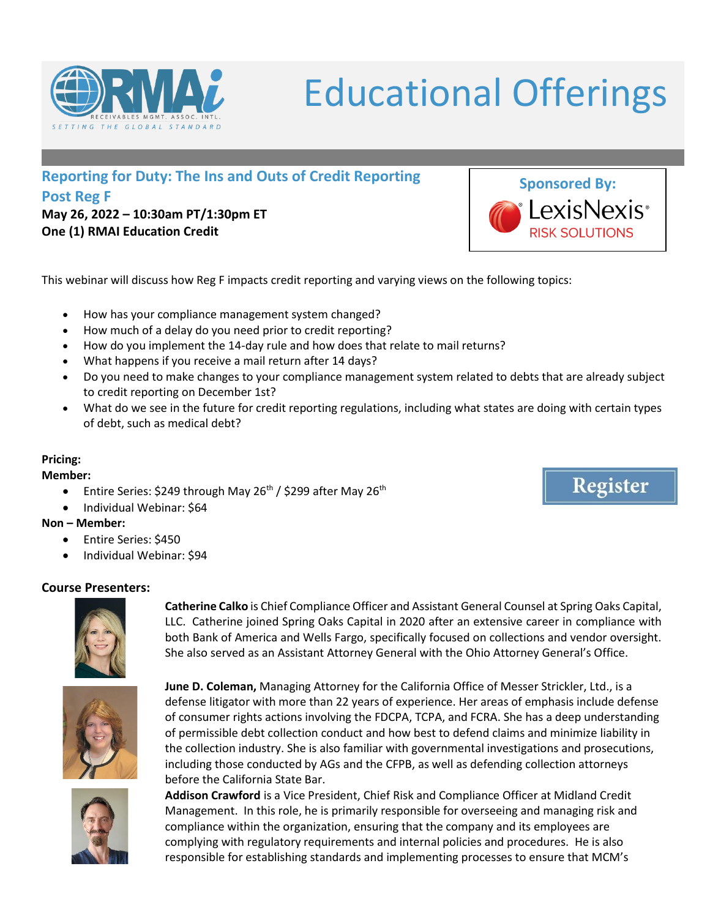

**Post Reg F May 26, 2022 – 10:30am PT/1:30pm ET One (1) RMAI Education Credit** 

This webinar will discuss how Reg F impacts credit reporting and varying views on the following topics:

- How has your compliance management system changed?
- How much of a delay do you need prior to credit reporting?
- How do you implement the 14-day rule and how does that relate to mail returns?
- What happens if you receive a mail return after 14 days?
- Do you need to make changes to your compliance management system related to debts that are already subject to credit reporting on December 1st?
- What do we see in the future for credit reporting regulations, including what states are doing with certain types of debt, such as medical debt?

## **Pricing:**

## **Member:**

- Entire Series: \$249 through May 26<sup>th</sup> / \$299 after May 26<sup>th</sup>
- Individual Webinar: \$64

## **Non – Member:**

- Entire Series: \$450
- Individual Webinar: \$94

## **Course Presenters:**



**Catherine Calko** is Chief Compliance Officer and Assistant General Counsel at Spring Oaks Capital, LLC. Catherine joined Spring Oaks Capital in 2020 after an extensive career in compliance with both Bank of America and Wells Fargo, specifically focused on collections and vendor oversight. She also served as an Assistant Attorney General with the Ohio Attorney General's Office.



**June D. Coleman,** Managing Attorney for the California Office of Messer Strickler, Ltd., is a defense litigator with more than 22 years of experience. Her areas of emphasis include defense of consumer rights actions involving the FDCPA, TCPA, and FCRA. She has a deep understanding of permissible debt collection conduct and how best to defend claims and minimize liability in the collection industry. She is also familiar with governmental investigations and prosecutions, including those conducted by AGs and the CFPB, as well as defending collection attorneys before the California State Bar.



**Addison Crawford** is a Vice President, Chief Risk and Compliance Officer at Midland Credit Management. In this role, he is primarily responsible for overseeing and managing risk and compliance within the organization, ensuring that the company and its employees are complying with regulatory requirements and internal policies and procedures. He is also responsible for establishing standards and implementing processes to ensure that MCM's



Educational Offerings